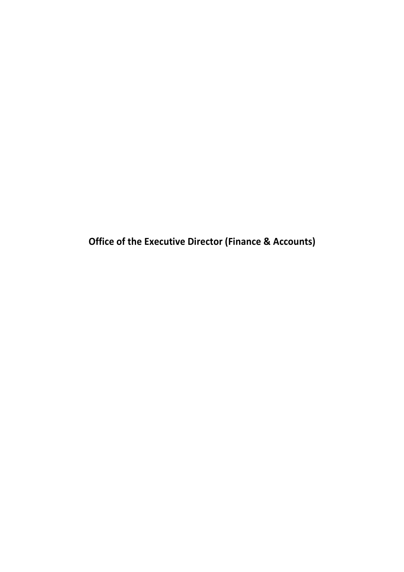**Office of the Executive Director (Finance & Accounts)**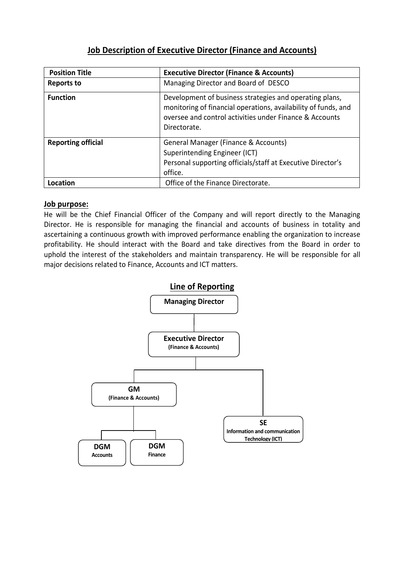# **Job Description of Executive Director (Finance and Accounts)**

| <b>Position Title</b>     | <b>Executive Director (Finance &amp; Accounts)</b>                                                                                                                                                   |
|---------------------------|------------------------------------------------------------------------------------------------------------------------------------------------------------------------------------------------------|
| <b>Reports to</b>         | Managing Director and Board of DESCO                                                                                                                                                                 |
| <b>Function</b>           | Development of business strategies and operating plans,<br>monitoring of financial operations, availability of funds, and<br>oversee and control activities under Finance & Accounts<br>Directorate. |
| <b>Reporting official</b> | General Manager (Finance & Accounts)<br>Superintending Engineer (ICT)<br>Personal supporting officials/staff at Executive Director's<br>office.                                                      |
| Location                  | Office of the Finance Directorate.                                                                                                                                                                   |

### **Job purpose:**

He will be the Chief Financial Officer of the Company and will report directly to the Managing Director. He is responsible for managing the financial and accounts of business in totality and ascertaining a continuous growth with improved performance enabling the organization to increase profitability. He should interact with the Board and take directives from the Board in order to uphold the interest of the stakeholders and maintain transparency. He will be responsible for all major decisions related to Finance, Accounts and ICT matters.

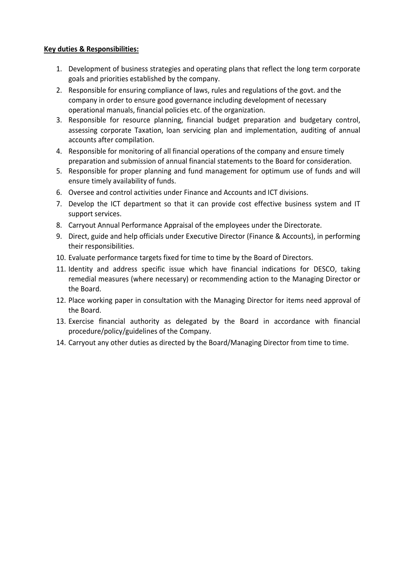- 1. Development of business strategies and operating plans that reflect the long term corporate goals and priorities established by the company.
- 2. Responsible for ensuring compliance of laws, rules and regulations of the govt. and the company in order to ensure good governance including development of necessary operational manuals, financial policies etc. of the organization.
- 3. Responsible for resource planning, financial budget preparation and budgetary control, assessing corporate Taxation, loan servicing plan and implementation, auditing of annual accounts after compilation.
- 4. Responsible for monitoring of all financial operations of the company and ensure timely preparation and submission of annual financial statements to the Board for consideration.
- 5. Responsible for proper planning and fund management for optimum use of funds and will ensure timely availability of funds.
- 6. Oversee and control activities under Finance and Accounts and ICT divisions.
- 7. Develop the ICT department so that it can provide cost effective business system and IT support services.
- 8. Carryout Annual Performance Appraisal of the employees under the Directorate.
- 9. Direct, guide and help officials under Executive Director (Finance & Accounts), in performing their responsibilities.
- 10. Evaluate performance targets fixed for time to time by the Board of Directors.
- 11. Identity and address specific issue which have financial indications for DESCO, taking remedial measures (where necessary) or recommending action to the Managing Director or the Board.
- 12. Place working paper in consultation with the Managing Director for items need approval of the Board.
- 13. Exercise financial authority as delegated by the Board in accordance with financial procedure/policy/guidelines of the Company.
- 14. Carryout any other duties as directed by the Board/Managing Director from time to time.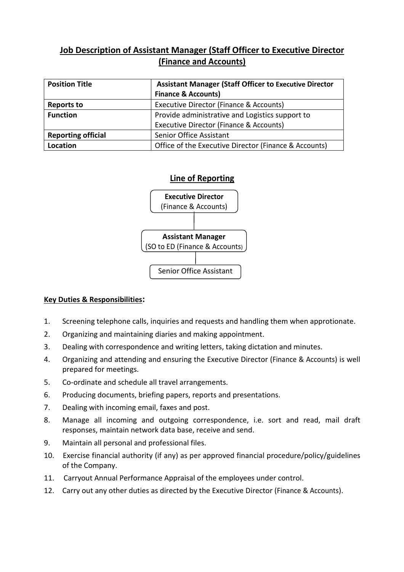# **Job Description of Assistant Manager (Staff Officer to Executive Director (Finance and Accounts)**

| <b>Position Title</b>     | <b>Assistant Manager (Staff Officer to Executive Director</b> |
|---------------------------|---------------------------------------------------------------|
|                           | <b>Finance &amp; Accounts)</b>                                |
| <b>Reports to</b>         | Executive Director (Finance & Accounts)                       |
| <b>Function</b>           | Provide administrative and Logistics support to               |
|                           | Executive Director (Finance & Accounts)                       |
| <b>Reporting official</b> | Senior Office Assistant                                       |
| Location                  | Office of the Executive Director (Finance & Accounts)         |

### **Line of Reporting**



- 1. Screening telephone calls, inquiries and requests and handling them when approtionate.
- 2. Organizing and maintaining diaries and making appointment.
- 3. Dealing with correspondence and writing letters, taking dictation and minutes.
- 4. Organizing and attending and ensuring the Executive Director (Finance & Accounts) is well prepared for meetings.
- 5. Co-ordinate and schedule all travel arrangements.
- 6. Producing documents, briefing papers, reports and presentations.
- 7. Dealing with incoming email, faxes and post.
- 8. Manage all incoming and outgoing correspondence, i.e. sort and read, mail draft responses, maintain network data base, receive and send.
- 9. Maintain all personal and professional files.
- 10. Exercise financial authority (if any) as per approved financial procedure/policy/guidelines of the Company.
- 11. Carryout Annual Performance Appraisal of the employees under control.
- 12. Carry out any other duties as directed by the Executive Director (Finance & Accounts).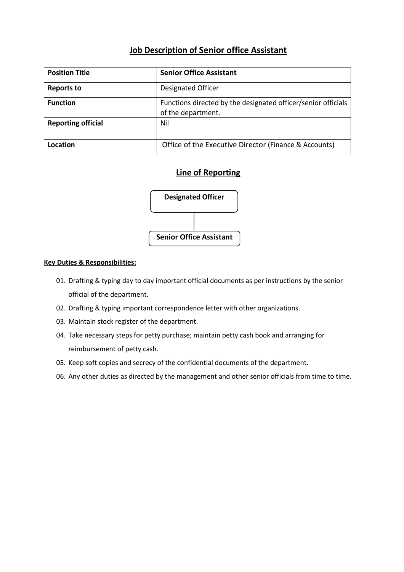# **Job Description of Senior office Assistant**

| <b>Position Title</b>     | <b>Senior Office Assistant</b>                                                      |
|---------------------------|-------------------------------------------------------------------------------------|
| <b>Reports to</b>         | Designated Officer                                                                  |
| <b>Function</b>           | Functions directed by the designated officer/senior officials<br>of the department. |
| <b>Reporting official</b> | Nil                                                                                 |
| Location                  | Office of the Executive Director (Finance & Accounts)                               |

### **Line of Reporting**



- 01. Drafting & typing day to day important official documents as per instructions by the senior official of the department.
- 02. Drafting & typing important correspondence letter with other organizations.
- 03. Maintain stock register of the department.
- 04. Take necessary steps for petty purchase; maintain petty cash book and arranging for reimbursement of petty cash.
- 05. Keep soft copies and secrecy of the confidential documents of the department.
- 06. Any other duties as directed by the management and other senior officials from time to time.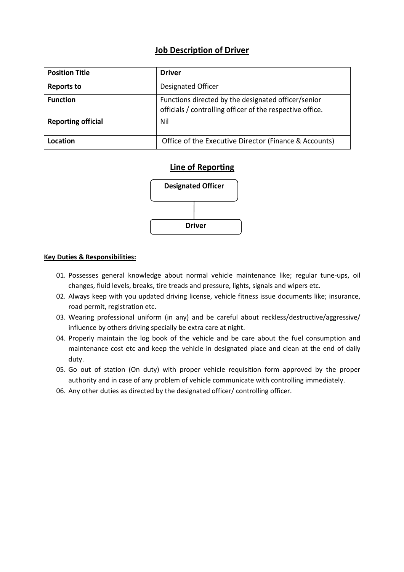### **Job Description of Driver**

| <b>Position Title</b>     | <b>Driver</b>                                                                                                    |
|---------------------------|------------------------------------------------------------------------------------------------------------------|
| <b>Reports to</b>         | Designated Officer                                                                                               |
| <b>Function</b>           | Functions directed by the designated officer/senior<br>officials / controlling officer of the respective office. |
| <b>Reporting official</b> | Nil                                                                                                              |
| Location                  | Office of the Executive Director (Finance & Accounts)                                                            |

### **Line of Reporting**



- 01. Possesses general knowledge about normal vehicle maintenance like; regular tune-ups, oil changes, fluid levels, breaks, tire treads and pressure, lights, signals and wipers etc.
- 02. Always keep with you updated driving license, vehicle fitness issue documents like; insurance, road permit, registration etc.
- 03. Wearing professional uniform (in any) and be careful about reckless/destructive/aggressive/ influence by others driving specially be extra care at night.
- 04. Properly maintain the log book of the vehicle and be care about the fuel consumption and maintenance cost etc and keep the vehicle in designated place and clean at the end of daily duty.
- 05. Go out of station (On duty) with proper vehicle requisition form approved by the proper authority and in case of any problem of vehicle communicate with controlling immediately.
- 06. Any other duties as directed by the designated officer/ controlling officer.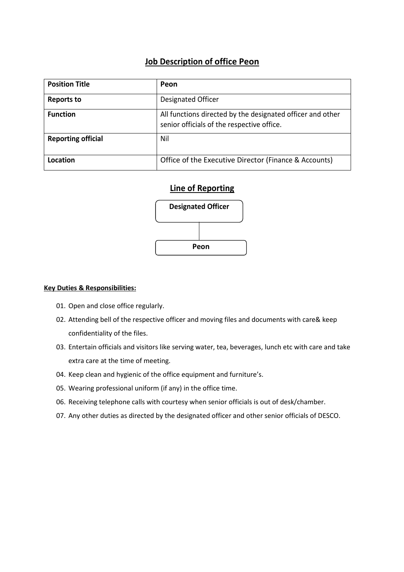### **Job Description of office Peon**

| <b>Position Title</b>     | Peon                                                                                                     |
|---------------------------|----------------------------------------------------------------------------------------------------------|
| <b>Reports to</b>         | Designated Officer                                                                                       |
| <b>Function</b>           | All functions directed by the designated officer and other<br>senior officials of the respective office. |
| <b>Reporting official</b> | Nil                                                                                                      |
| Location                  | Office of the Executive Director (Finance & Accounts)                                                    |

### **Line of Reporting**



- 01. Open and close office regularly.
- 02. Attending bell of the respective officer and moving files and documents with care& keep confidentiality of the files.
- 03. Entertain officials and visitors like serving water, tea, beverages, lunch etc with care and take extra care at the time of meeting.
- 04. Keep clean and hygienic of the office equipment and furniture's.
- 05. Wearing professional uniform (if any) in the office time.
- 06. Receiving telephone calls with courtesy when senior officials is out of desk/chamber.
- 07. Any other duties as directed by the designated officer and other senior officials of DESCO.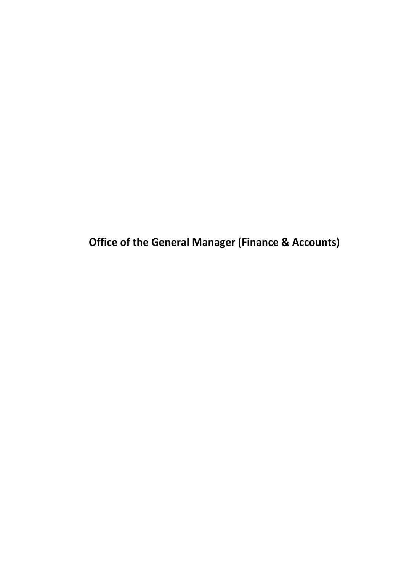**Office of the General Manager (Finance & Accounts)**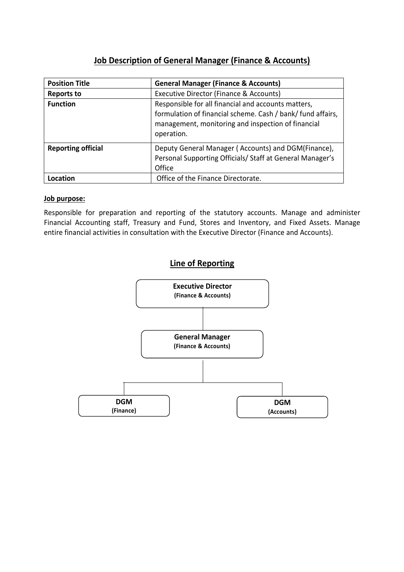# **Job Description of General Manager (Finance & Accounts)**

| <b>Position Title</b>     | <b>General Manager (Finance &amp; Accounts)</b>                                                                                                                                        |
|---------------------------|----------------------------------------------------------------------------------------------------------------------------------------------------------------------------------------|
| <b>Reports to</b>         | Executive Director (Finance & Accounts)                                                                                                                                                |
| <b>Function</b>           | Responsible for all financial and accounts matters,<br>formulation of financial scheme. Cash / bank/ fund affairs,<br>management, monitoring and inspection of financial<br>operation. |
| <b>Reporting official</b> | Deputy General Manager (Accounts) and DGM(Finance),<br>Personal Supporting Officials/ Staff at General Manager's<br>Office                                                             |
| Location                  | Office of the Finance Directorate.                                                                                                                                                     |

#### **Job purpose:**

Responsible for preparation and reporting of the statutory accounts. Manage and administer Financial Accounting staff, Treasury and Fund, Stores and Inventory, and Fixed Assets. Manage entire financial activities in consultation with the Executive Director (Finance and Accounts).

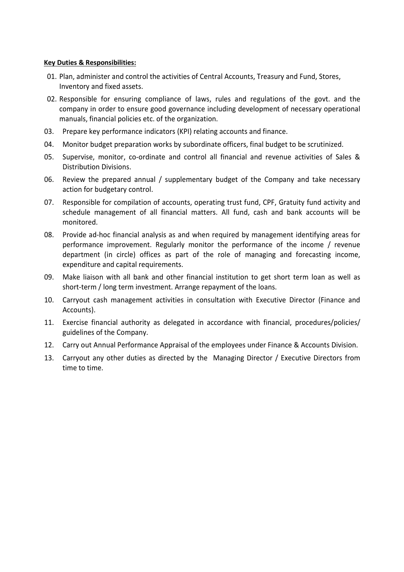- 01. Plan, administer and control the activities of Central Accounts, Treasury and Fund, Stores, Inventory and fixed assets.
- 02. Responsible for ensuring compliance of laws, rules and regulations of the govt. and the company in order to ensure good governance including development of necessary operational manuals, financial policies etc. of the organization.
- 03. Prepare key performance indicators (KPI) relating accounts and finance.
- 04. Monitor budget preparation works by subordinate officers, final budget to be scrutinized.
- 05. Supervise, monitor, co-ordinate and control all financial and revenue activities of Sales & Distribution Divisions.
- 06. Review the prepared annual / supplementary budget of the Company and take necessary action for budgetary control.
- 07. Responsible for compilation of accounts, operating trust fund, CPF, Gratuity fund activity and schedule management of all financial matters. All fund, cash and bank accounts will be monitored.
- 08. Provide ad-hoc financial analysis as and when required by management identifying areas for performance improvement. Regularly monitor the performance of the income / revenue department (in circle) offices as part of the role of managing and forecasting income, expenditure and capital requirements.
- 09. Make liaison with all bank and other financial institution to get short term loan as well as short-term / long term investment. Arrange repayment of the loans.
- 10. Carryout cash management activities in consultation with Executive Director (Finance and Accounts).
- 11. Exercise financial authority as delegated in accordance with financial, procedures/policies/ guidelines of the Company.
- 12. Carry out Annual Performance Appraisal of the employees under Finance & Accounts Division.
- 13. Carryout any other duties as directed by the Managing Director / Executive Directors from time to time.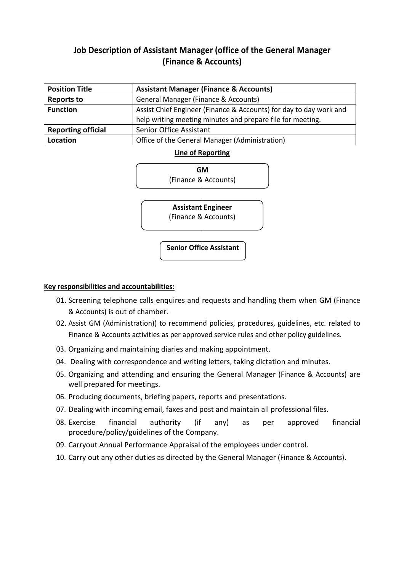# **Job Description of Assistant Manager (office of the General Manager (Finance & Accounts)**

| <b>Position Title</b>     | <b>Assistant Manager (Finance &amp; Accounts)</b>                  |
|---------------------------|--------------------------------------------------------------------|
| <b>Reports to</b>         | General Manager (Finance & Accounts)                               |
| <b>Function</b>           | Assist Chief Engineer (Finance & Accounts) for day to day work and |
|                           | help writing meeting minutes and prepare file for meeting.         |
| <b>Reporting official</b> | Senior Office Assistant                                            |
| Location                  | Office of the General Manager (Administration)                     |

### **Line of Reporting**



### **Key responsibilities and accountabilities:**

- 01. Screening telephone calls enquires and requests and handling them when GM (Finance & Accounts) is out of chamber.
- 02. Assist GM (Administration)) to recommend policies, procedures, guidelines, etc. related to Finance & Accounts activities as per approved service rules and other policy guidelines.
- 03. Organizing and maintaining diaries and making appointment.
- 04. Dealing with correspondence and writing letters, taking dictation and minutes.
- 05. Organizing and attending and ensuring the General Manager (Finance & Accounts) are well prepared for meetings.
- 06. Producing documents, briefing papers, reports and presentations.
- 07. Dealing with incoming email, faxes and post and maintain all professional files.
- 08. Exercise financial authority (if any) as per approved financial procedure/policy/guidelines of the Company.
- 09. Carryout Annual Performance Appraisal of the employees under control.
- 10. Carry out any other duties as directed by the General Manager (Finance & Accounts).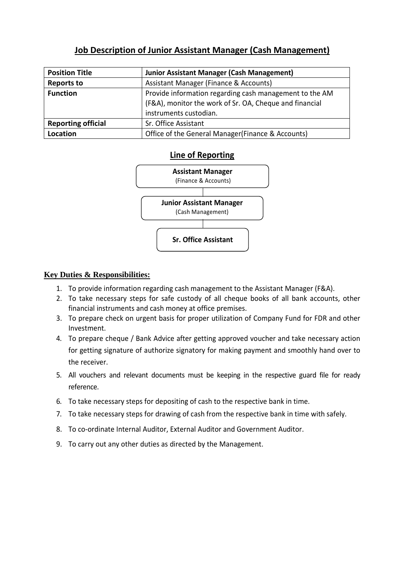# **Job Description of Junior Assistant Manager (Cash Management)**

| <b>Position Title</b>     | <b>Junior Assistant Manager (Cash Management)</b>                                                                  |
|---------------------------|--------------------------------------------------------------------------------------------------------------------|
| <b>Reports to</b>         | Assistant Manager (Finance & Accounts)                                                                             |
| <b>Function</b>           | Provide information regarding cash management to the AM<br>(F&A), monitor the work of Sr. OA, Cheque and financial |
|                           | instruments custodian.                                                                                             |
| <b>Reporting official</b> | Sr. Office Assistant                                                                                               |
| Location                  | Office of the General Manager (Finance & Accounts)                                                                 |

### **Line of Reporting**



- 1. To provide information regarding cash management to the Assistant Manager (F&A).
- 2. To take necessary steps for safe custody of all cheque books of all bank accounts, other financial instruments and cash money at office premises.
- 3. To prepare check on urgent basis for proper utilization of Company Fund for FDR and other Investment.
- 4. To prepare cheque / Bank Advice after getting approved voucher and take necessary action for getting signature of authorize signatory for making payment and smoothly hand over to the receiver.
- 5. All vouchers and relevant documents must be keeping in the respective guard file for ready reference.
- 6. To take necessary steps for depositing of cash to the respective bank in time.
- 7. To take necessary steps for drawing of cash from the respective bank in time with safely.
- 8. To co-ordinate Internal Auditor, External Auditor and Government Auditor.
- 9. To carry out any other duties as directed by the Management.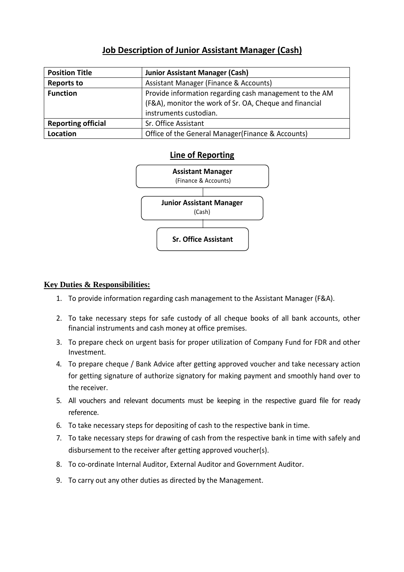# **Job Description of Junior Assistant Manager (Cash)**

| <b>Position Title</b>     | <b>Junior Assistant Manager (Cash)</b>                                                                                                       |
|---------------------------|----------------------------------------------------------------------------------------------------------------------------------------------|
| <b>Reports to</b>         | Assistant Manager (Finance & Accounts)                                                                                                       |
| <b>Function</b>           | Provide information regarding cash management to the AM<br>(F&A), monitor the work of Sr. OA, Cheque and financial<br>instruments custodian. |
| <b>Reporting official</b> | Sr. Office Assistant                                                                                                                         |
| Location                  | Office of the General Manager (Finance & Accounts)                                                                                           |

### **Line of Reporting**



- 1. To provide information regarding cash management to the Assistant Manager (F&A).
- 2. To take necessary steps for safe custody of all cheque books of all bank accounts, other financial instruments and cash money at office premises.
- 3. To prepare check on urgent basis for proper utilization of Company Fund for FDR and other Investment.
- 4. To prepare cheque / Bank Advice after getting approved voucher and take necessary action for getting signature of authorize signatory for making payment and smoothly hand over to the receiver.
- 5. All vouchers and relevant documents must be keeping in the respective guard file for ready reference.
- 6. To take necessary steps for depositing of cash to the respective bank in time.
- 7. To take necessary steps for drawing of cash from the respective bank in time with safely and disbursement to the receiver after getting approved voucher(s).
- 8. To co-ordinate Internal Auditor, External Auditor and Government Auditor.
- 9. To carry out any other duties as directed by the Management.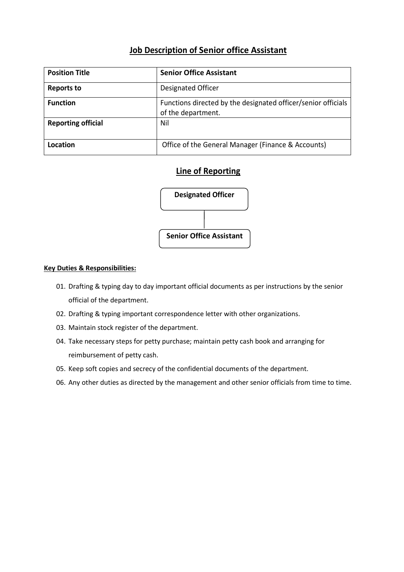# **Job Description of Senior office Assistant**

| <b>Position Title</b>     | <b>Senior Office Assistant</b>                                                      |
|---------------------------|-------------------------------------------------------------------------------------|
| <b>Reports to</b>         | Designated Officer                                                                  |
| <b>Function</b>           | Functions directed by the designated officer/senior officials<br>of the department. |
| <b>Reporting official</b> | Nil                                                                                 |
| Location                  | Office of the General Manager (Finance & Accounts)                                  |

### **Line of Reporting**



- 01. Drafting & typing day to day important official documents as per instructions by the senior official of the department.
- 02. Drafting & typing important correspondence letter with other organizations.
- 03. Maintain stock register of the department.
- 04. Take necessary steps for petty purchase; maintain petty cash book and arranging for reimbursement of petty cash.
- 05. Keep soft copies and secrecy of the confidential documents of the department.
- 06. Any other duties as directed by the management and other senior officials from time to time.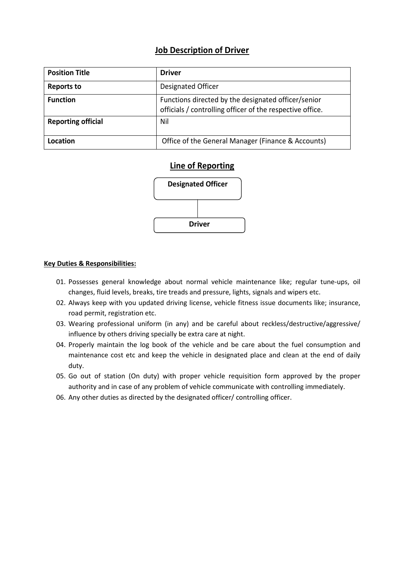### **Job Description of Driver**

| <b>Position Title</b>     | Driver                                                                                                           |
|---------------------------|------------------------------------------------------------------------------------------------------------------|
| <b>Reports to</b>         | Designated Officer                                                                                               |
| <b>Function</b>           | Functions directed by the designated officer/senior<br>officials / controlling officer of the respective office. |
| <b>Reporting official</b> | Nil                                                                                                              |
| Location                  | Office of the General Manager (Finance & Accounts)                                                               |

### **Line of Reporting**



- 01. Possesses general knowledge about normal vehicle maintenance like; regular tune-ups, oil changes, fluid levels, breaks, tire treads and pressure, lights, signals and wipers etc.
- 02. Always keep with you updated driving license, vehicle fitness issue documents like; insurance, road permit, registration etc.
- 03. Wearing professional uniform (in any) and be careful about reckless/destructive/aggressive/ influence by others driving specially be extra care at night.
- 04. Properly maintain the log book of the vehicle and be care about the fuel consumption and maintenance cost etc and keep the vehicle in designated place and clean at the end of daily duty.
- 05. Go out of station (On duty) with proper vehicle requisition form approved by the proper authority and in case of any problem of vehicle communicate with controlling immediately.
- 06. Any other duties as directed by the designated officer/ controlling officer.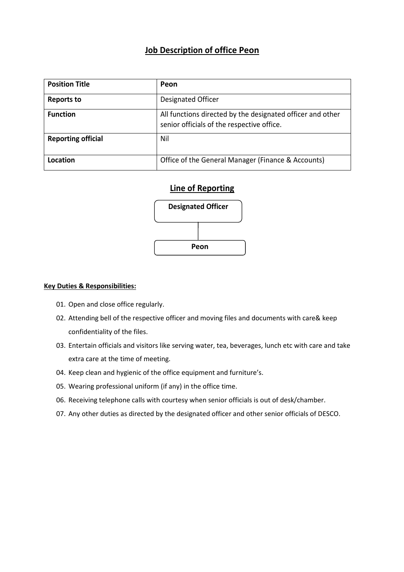### **Job Description of office Peon**

| <b>Position Title</b>     | Peon                                                                                                     |
|---------------------------|----------------------------------------------------------------------------------------------------------|
| <b>Reports to</b>         | Designated Officer                                                                                       |
| <b>Function</b>           | All functions directed by the designated officer and other<br>senior officials of the respective office. |
| <b>Reporting official</b> | Nil                                                                                                      |
| Location                  | Office of the General Manager (Finance & Accounts)                                                       |

# **Line of Reporting**



- 01. Open and close office regularly.
- 02. Attending bell of the respective officer and moving files and documents with care& keep confidentiality of the files.
- 03. Entertain officials and visitors like serving water, tea, beverages, lunch etc with care and take extra care at the time of meeting.
- 04. Keep clean and hygienic of the office equipment and furniture's.
- 05. Wearing professional uniform (if any) in the office time.
- 06. Receiving telephone calls with courtesy when senior officials is out of desk/chamber.
- 07. Any other duties as directed by the designated officer and other senior officials of DESCO.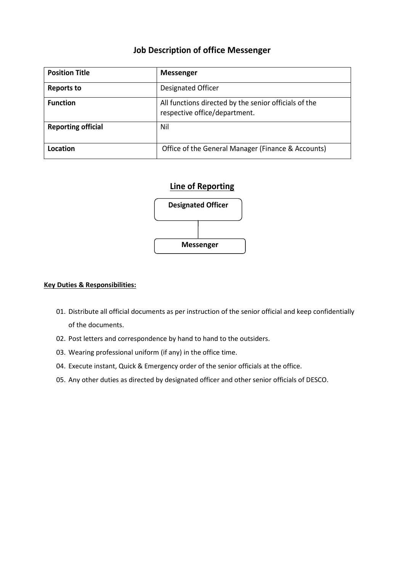### **Job Description of office Messenger**

| <b>Position Title</b>     | <b>Messenger</b>                                                                       |
|---------------------------|----------------------------------------------------------------------------------------|
| <b>Reports to</b>         | Designated Officer                                                                     |
| <b>Function</b>           | All functions directed by the senior officials of the<br>respective office/department. |
| <b>Reporting official</b> | Nil                                                                                    |
| Location                  | Office of the General Manager (Finance & Accounts)                                     |

### **Line of Reporting**



- 01. Distribute all official documents as per instruction of the senior official and keep confidentially of the documents.
- 02. Post letters and correspondence by hand to hand to the outsiders.
- 03. Wearing professional uniform (if any) in the office time.
- 04. Execute instant, Quick & Emergency order of the senior officials at the office.
- 05. Any other duties as directed by designated officer and other senior officials of DESCO.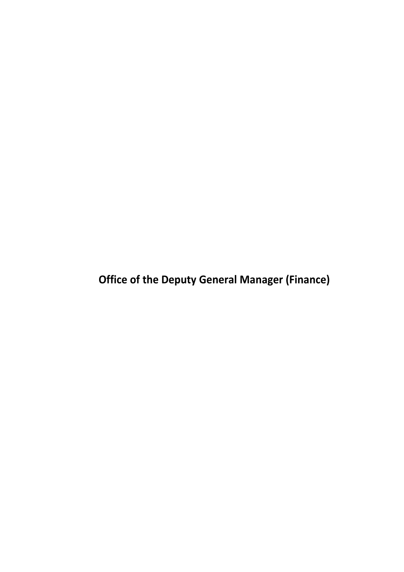**Office of the Deputy General Manager (Finance)**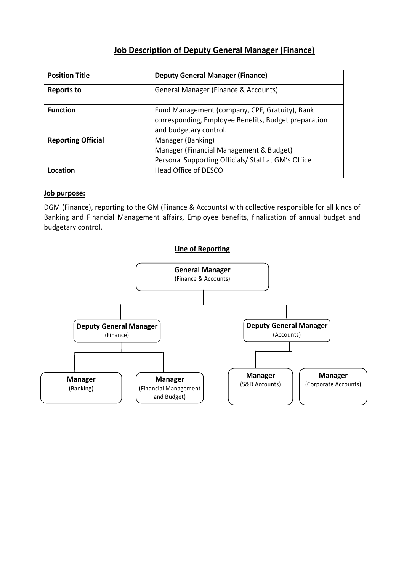# **Job Description of Deputy General Manager (Finance)**

| <b>Position Title</b>     | <b>Deputy General Manager (Finance)</b>                                                                |
|---------------------------|--------------------------------------------------------------------------------------------------------|
| Reports to                | General Manager (Finance & Accounts)                                                                   |
| <b>Function</b>           | Fund Management (company, CPF, Gratuity), Bank<br>corresponding, Employee Benefits, Budget preparation |
|                           | and budgetary control.                                                                                 |
| <b>Reporting Official</b> | Manager (Banking)                                                                                      |
|                           | Manager (Financial Management & Budget)                                                                |
|                           | Personal Supporting Officials/ Staff at GM's Office                                                    |
| Location                  | Head Office of DESCO                                                                                   |

#### **Job purpose:**

DGM (Finance), reporting to the GM (Finance & Accounts) with collective responsible for all kinds of Banking and Financial Management affairs, Employee benefits, finalization of annual budget and budgetary control.

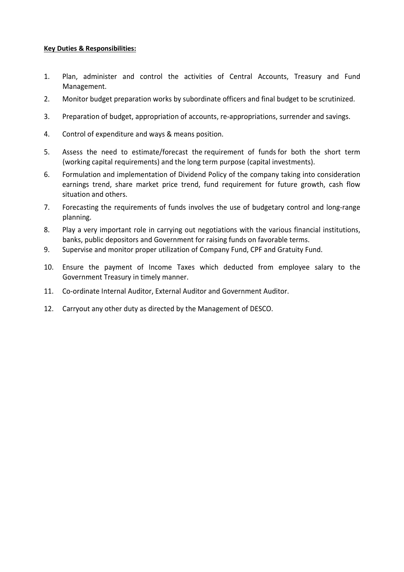- 1. Plan, administer and control the activities of Central Accounts, Treasury and Fund Management.
- 2. Monitor budget preparation works by subordinate officers and final budget to be scrutinized.
- 3. Preparation of budget, appropriation of accounts, re-appropriations, surrender and savings.
- 4. Control of expenditure and ways & means position.
- 5. Assess the need to estimate/forecast the requirement of funds for both the short term (working capital requirements) and the long term purpose (capital investments).
- 6. Formulation and implementation of Dividend Policy of the company taking into consideration earnings trend, share market price trend, fund requirement for future growth, cash flow situation and others.
- 7. Forecasting the requirements of funds involves the use of budgetary control and long-range planning.
- 8. Play a very important role in carrying out negotiations with the various financial institutions, banks, public depositors and Government for raising funds on favorable terms.
- 9. Supervise and monitor proper utilization of Company Fund, CPF and Gratuity Fund.
- 10. Ensure the payment of Income Taxes which deducted from employee salary to the Government Treasury in timely manner.
- 11. Co-ordinate Internal Auditor, External Auditor and Government Auditor.
- 12. Carryout any other duty as directed by the Management of DESCO.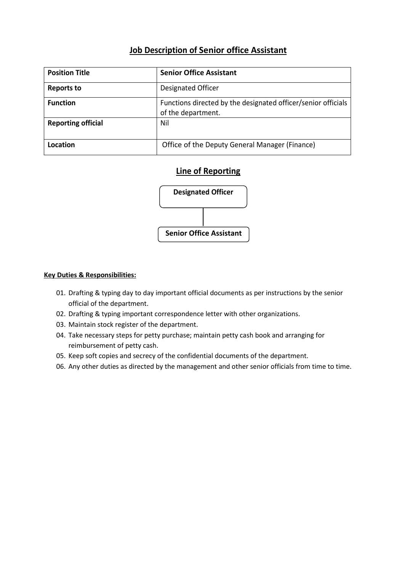# **Job Description of Senior office Assistant**

| <b>Position Title</b>     | <b>Senior Office Assistant</b>                                                      |
|---------------------------|-------------------------------------------------------------------------------------|
| <b>Reports to</b>         | Designated Officer                                                                  |
| <b>Function</b>           | Functions directed by the designated officer/senior officials<br>of the department. |
| <b>Reporting official</b> | Nil                                                                                 |
| Location                  | Office of the Deputy General Manager (Finance)                                      |

### **Line of Reporting**



- 01. Drafting & typing day to day important official documents as per instructions by the senior official of the department.
- 02. Drafting & typing important correspondence letter with other organizations.
- 03. Maintain stock register of the department.
- 04. Take necessary steps for petty purchase; maintain petty cash book and arranging for reimbursement of petty cash.
- 05. Keep soft copies and secrecy of the confidential documents of the department.
- 06. Any other duties as directed by the management and other senior officials from time to time.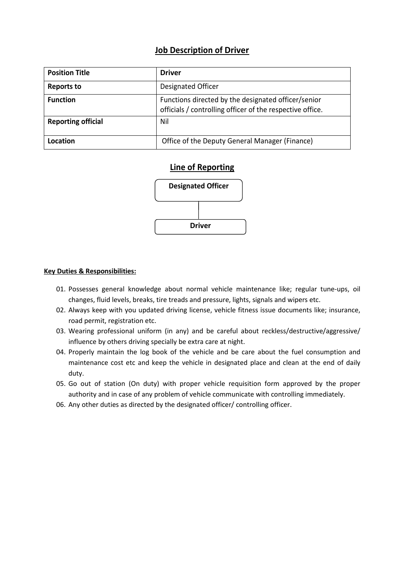### **Job Description of Driver**

| <b>Position Title</b>     | Driver                                                                                                           |
|---------------------------|------------------------------------------------------------------------------------------------------------------|
| <b>Reports to</b>         | Designated Officer                                                                                               |
| <b>Function</b>           | Functions directed by the designated officer/senior<br>officials / controlling officer of the respective office. |
| <b>Reporting official</b> | Nil                                                                                                              |
| Location                  | Office of the Deputy General Manager (Finance)                                                                   |

### **Line of Reporting**



- 01. Possesses general knowledge about normal vehicle maintenance like; regular tune-ups, oil changes, fluid levels, breaks, tire treads and pressure, lights, signals and wipers etc.
- 02. Always keep with you updated driving license, vehicle fitness issue documents like; insurance, road permit, registration etc.
- 03. Wearing professional uniform (in any) and be careful about reckless/destructive/aggressive/ influence by others driving specially be extra care at night.
- 04. Properly maintain the log book of the vehicle and be care about the fuel consumption and maintenance cost etc and keep the vehicle in designated place and clean at the end of daily duty.
- 05. Go out of station (On duty) with proper vehicle requisition form approved by the proper authority and in case of any problem of vehicle communicate with controlling immediately.
- 06. Any other duties as directed by the designated officer/ controlling officer.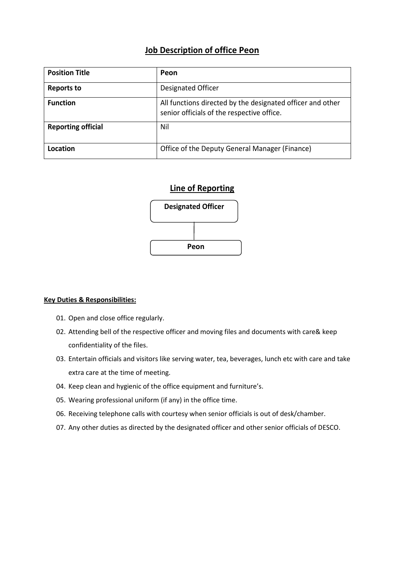### **Job Description of office Peon**

| <b>Position Title</b>     | Peon                                                                                                     |
|---------------------------|----------------------------------------------------------------------------------------------------------|
| <b>Reports to</b>         | Designated Officer                                                                                       |
| <b>Function</b>           | All functions directed by the designated officer and other<br>senior officials of the respective office. |
| <b>Reporting official</b> | Nil                                                                                                      |
| Location                  | Office of the Deputy General Manager (Finance)                                                           |

### **Line of Reporting**



- 01. Open and close office regularly.
- 02. Attending bell of the respective officer and moving files and documents with care& keep confidentiality of the files.
- 03. Entertain officials and visitors like serving water, tea, beverages, lunch etc with care and take extra care at the time of meeting.
- 04. Keep clean and hygienic of the office equipment and furniture's.
- 05. Wearing professional uniform (if any) in the office time.
- 06. Receiving telephone calls with courtesy when senior officials is out of desk/chamber.
- 07. Any other duties as directed by the designated officer and other senior officials of DESCO.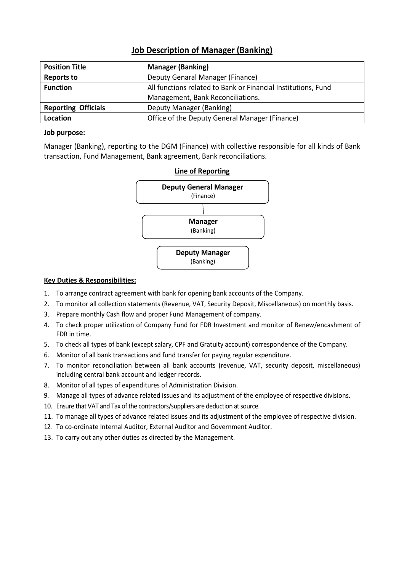| <b>Position Title</b>      | <b>Manager (Banking)</b>                                      |
|----------------------------|---------------------------------------------------------------|
| <b>Reports to</b>          | Deputy Genaral Manager (Finance)                              |
| <b>Function</b>            | All functions related to Bank or Financial Institutions, Fund |
|                            | Management, Bank Reconciliations.                             |
| <b>Reporting Officials</b> | Deputy Manager (Banking)                                      |
| Location                   | Office of the Deputy General Manager (Finance)                |

### **Job Description of Manager (Banking)**

#### **Job purpose:**

Manager (Banking), reporting to the DGM (Finance) with collective responsible for all kinds of Bank transaction, Fund Management, Bank agreement, Bank reconciliations.



- 1. To arrange contract agreement with bank for opening bank accounts of the Company.
- 2. To monitor all collection statements (Revenue, VAT, Security Deposit, Miscellaneous) on monthly basis.
- 3. Prepare monthly Cash flow and proper Fund Management of company.
- 4. To check proper utilization of Company Fund for FDR Investment and monitor of Renew/encashment of FDR in time.
- 5. To check all types of bank (except salary, CPF and Gratuity account) correspondence of the Company.
- 6. Monitor of all bank transactions and fund transfer for paying regular expenditure.
- 7. To monitor reconciliation between all bank accounts (revenue, VAT, security deposit, miscellaneous) including central bank account and ledger records.
- 8. Monitor of all types of expenditures of Administration Division.
- 9. Manage all types of advance related issues and its adjustment of the employee of respective divisions.
- 10. Ensure that VAT and Tax of the contractors/suppliers are deduction at source.
- 11. To manage all types of advance related issues and its adjustment of the employee of respective division.
- 12. To co-ordinate Internal Auditor, External Auditor and Government Auditor.
- 13. To carry out any other duties as directed by the Management.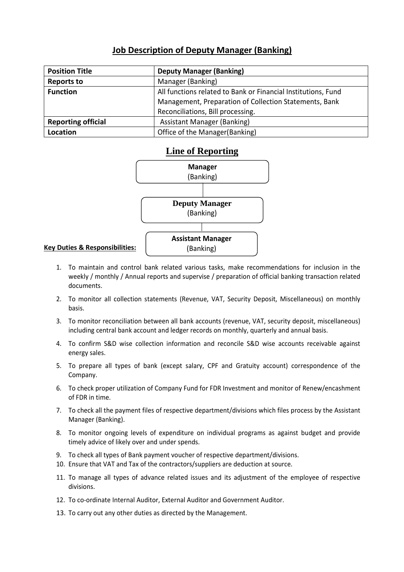# **Job Description of Deputy Manager (Banking)**

| <b>Position Title</b>     | <b>Deputy Manager (Banking)</b>                               |
|---------------------------|---------------------------------------------------------------|
| <b>Reports to</b>         | Manager (Banking)                                             |
| <b>Function</b>           | All functions related to Bank or Financial Institutions, Fund |
|                           | Management, Preparation of Collection Statements, Bank        |
|                           | Reconciliations, Bill processing.                             |
| <b>Reporting official</b> | Assistant Manager (Banking)                                   |
| Location                  | Office of the Manager(Banking)                                |

### **Line of Reporting**



- 1. To maintain and control bank related various tasks, make recommendations for inclusion in the weekly / monthly / Annual reports and supervise / preparation of official banking transaction related documents.
- 2. To monitor all collection statements (Revenue, VAT, Security Deposit, Miscellaneous) on monthly basis.
- 3. To monitor reconciliation between all bank accounts (revenue, VAT, security deposit, miscellaneous) including central bank account and ledger records on monthly, quarterly and annual basis.
- 4. To confirm S&D wise collection information and reconcile S&D wise accounts receivable against energy sales.
- 5. To prepare all types of bank (except salary, CPF and Gratuity account) correspondence of the Company.
- 6. To check proper utilization of Company Fund for FDR Investment and monitor of Renew/encashment of FDR in time.
- 7. To check all the payment files of respective department/divisions which files process by the Assistant Manager (Banking).
- 8. To monitor ongoing levels of expenditure on individual programs as against budget and provide timely advice of likely over and under spends.
- 9. To check all types of Bank payment voucher of respective department/divisions.
- 10. Ensure that VAT and Tax of the contractors/suppliers are deduction at source.
- 11. To manage all types of advance related issues and its adjustment of the employee of respective divisions.
- 12. To co-ordinate Internal Auditor, External Auditor and Government Auditor.
- 13. To carry out any other duties as directed by the Management.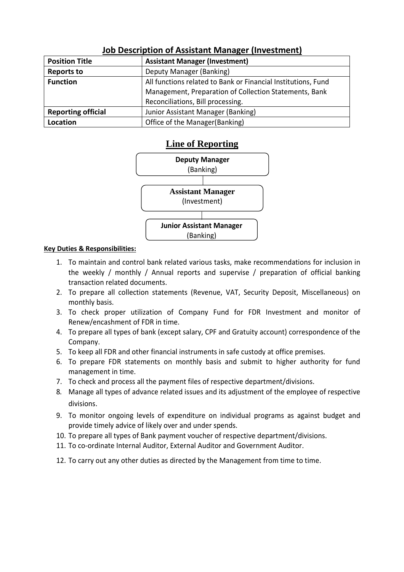| <b>Position Title</b>     | <b>Assistant Manager (Investment)</b>                         |
|---------------------------|---------------------------------------------------------------|
| <b>Reports to</b>         | Deputy Manager (Banking)                                      |
| <b>Function</b>           | All functions related to Bank or Financial Institutions, Fund |
|                           | Management, Preparation of Collection Statements, Bank        |
|                           | Reconciliations, Bill processing.                             |
| <b>Reporting official</b> | Junior Assistant Manager (Banking)                            |
| Location                  | Office of the Manager(Banking)                                |

# **Job Description of Assistant Manager (Investment)**

### **Line of Reporting**



- 1. To maintain and control bank related various tasks, make recommendations for inclusion in the weekly / monthly / Annual reports and supervise / preparation of official banking transaction related documents.
- 2. To prepare all collection statements (Revenue, VAT, Security Deposit, Miscellaneous) on monthly basis.
- 3. To check proper utilization of Company Fund for FDR Investment and monitor of Renew/encashment of FDR in time.
- 4. To prepare all types of bank (except salary, CPF and Gratuity account) correspondence of the Company.
- 5. To keep all FDR and other financial instruments in safe custody at office premises.
- 6. To prepare FDR statements on monthly basis and submit to higher authority for fund management in time.
- 7. To check and process all the payment files of respective department/divisions.
- 8. Manage all types of advance related issues and its adjustment of the employee of respective divisions.
- 9. To monitor ongoing levels of expenditure on individual programs as against budget and provide timely advice of likely over and under spends.
- 10. To prepare all types of Bank payment voucher of respective department/divisions.
- 11. To co-ordinate Internal Auditor, External Auditor and Government Auditor.
- 12. To carry out any other duties as directed by the Management from time to time.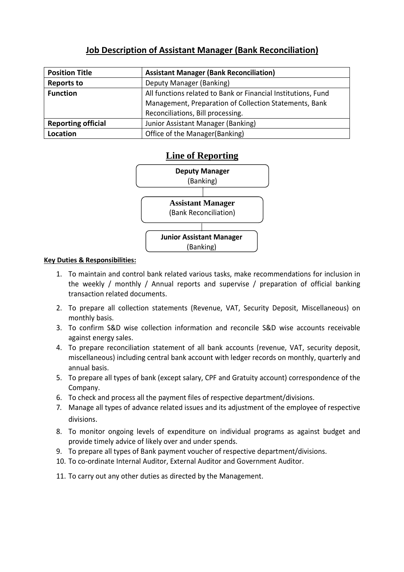# **Job Description of Assistant Manager (Bank Reconciliation)**

| <b>Position Title</b>     | <b>Assistant Manager (Bank Reconciliation)</b>                |
|---------------------------|---------------------------------------------------------------|
| <b>Reports to</b>         | Deputy Manager (Banking)                                      |
| <b>Function</b>           | All functions related to Bank or Financial Institutions, Fund |
|                           | Management, Preparation of Collection Statements, Bank        |
|                           | Reconciliations, Bill processing.                             |
| <b>Reporting official</b> | Junior Assistant Manager (Banking)                            |
| Location                  | Office of the Manager(Banking)                                |

### **Line of Reporting**



- 1. To maintain and control bank related various tasks, make recommendations for inclusion in the weekly / monthly / Annual reports and supervise / preparation of official banking transaction related documents.
- 2. To prepare all collection statements (Revenue, VAT, Security Deposit, Miscellaneous) on monthly basis.
- 3. To confirm S&D wise collection information and reconcile S&D wise accounts receivable against energy sales.
- 4. To prepare reconciliation statement of all bank accounts (revenue, VAT, security deposit, miscellaneous) including central bank account with ledger records on monthly, quarterly and annual basis.
- 5. To prepare all types of bank (except salary, CPF and Gratuity account) correspondence of the Company.
- 6. To check and process all the payment files of respective department/divisions.
- 7. Manage all types of advance related issues and its adjustment of the employee of respective divisions.
- 8. To monitor ongoing levels of expenditure on individual programs as against budget and provide timely advice of likely over and under spends.
- 9. To prepare all types of Bank payment voucher of respective department/divisions.
- 10. To co-ordinate Internal Auditor, External Auditor and Government Auditor.
- 11. To carry out any other duties as directed by the Management.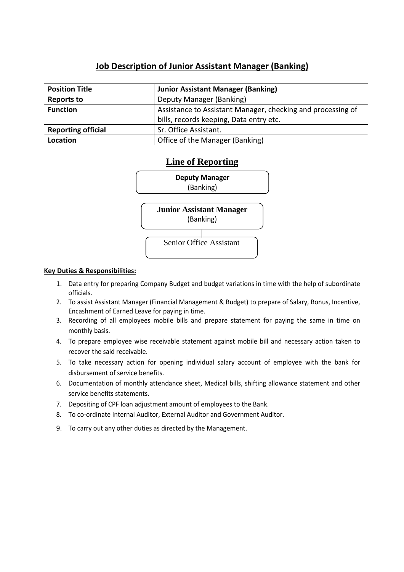# **Job Description of Junior Assistant Manager (Banking)**

| <b>Position Title</b>     | <b>Junior Assistant Manager (Banking)</b>                   |
|---------------------------|-------------------------------------------------------------|
| <b>Reports to</b>         | Deputy Manager (Banking)                                    |
| <b>Function</b>           | Assistance to Assistant Manager, checking and processing of |
|                           | bills, records keeping, Data entry etc.                     |
| <b>Reporting official</b> | Sr. Office Assistant.                                       |
| Location                  | Office of the Manager (Banking)                             |

### **Line of Reporting**



- 1. Data entry for preparing Company Budget and budget variations in time with the help of subordinate officials.
- 2. To assist Assistant Manager (Financial Management & Budget) to prepare of Salary, Bonus, Incentive, Encashment of Earned Leave for paying in time.
- 3. Recording of all employees mobile bills and prepare statement for paying the same in time on monthly basis.
- 4. To prepare employee wise receivable statement against mobile bill and necessary action taken to recover the said receivable.
- 5. To take necessary action for opening individual salary account of employee with the bank for disbursement of service benefits.
- 6. Documentation of monthly attendance sheet, Medical bills, shifting allowance statement and other service benefits statements.
- 7. Depositing of CPF loan adjustment amount of employees to the Bank.
- 8. To co-ordinate Internal Auditor, External Auditor and Government Auditor.
- 9. To carry out any other duties as directed by the Management.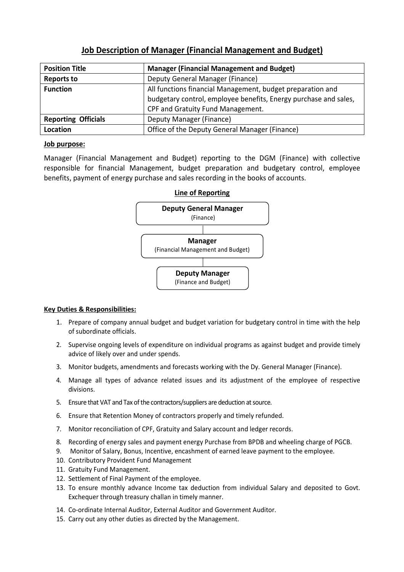| <b>Position Title</b>      | <b>Manager (Financial Management and Budget)</b>                                                                                                                    |
|----------------------------|---------------------------------------------------------------------------------------------------------------------------------------------------------------------|
| <b>Reports to</b>          | Deputy General Manager (Finance)                                                                                                                                    |
| <b>Function</b>            | All functions financial Management, budget preparation and<br>budgetary control, employee benefits, Energy purchase and sales,<br>CPF and Gratuity Fund Management. |
| <b>Reporting Officials</b> | Deputy Manager (Finance)                                                                                                                                            |
| Location                   | Office of the Deputy General Manager (Finance)                                                                                                                      |

### **Job Description of Manager (Financial Management and Budget)**

#### **Job purpose:**

Manager (Financial Management and Budget) reporting to the DGM (Finance) with collective responsible for financial Management, budget preparation and budgetary control, employee benefits, payment of energy purchase and sales recording in the books of accounts.

# **Line of Reporting**



- 1. Prepare of company annual budget and budget variation for budgetary control in time with the help of subordinate officials.
- 2. Supervise ongoing levels of expenditure on individual programs as against budget and provide timely advice of likely over and under spends.
- 3. Monitor budgets, amendments and forecasts working with the Dy. General Manager (Finance).
- 4. Manage all types of advance related issues and its adjustment of the employee of respective divisions.
- 5. Ensure that VAT and Tax of the contractors/suppliers are deduction at source.
- 6. Ensure that Retention Money of contractors properly and timely refunded.
- 7. Monitor reconciliation of CPF, Gratuity and Salary account and ledger records.
- 8. Recording of energy sales and payment energy Purchase from BPDB and wheeling charge of PGCB.
- 9. Monitor of Salary, Bonus, Incentive, encashment of earned leave payment to the employee.
- 10. Contributory Provident Fund Management
- 11. Gratuity Fund Management.
- 12. Settlement of Final Payment of the employee.
- 13. To ensure monthly advance Income tax deduction from individual Salary and deposited to Govt. Exchequer through treasury challan in timely manner.
- 14. Co-ordinate Internal Auditor, External Auditor and Government Auditor.
- 15. Carry out any other duties as directed by the Management.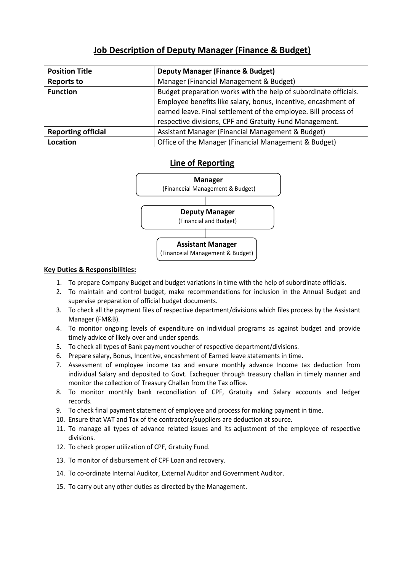# **Job Description of Deputy Manager (Finance & Budget)**

| <b>Position Title</b>     | <b>Deputy Manager (Finance &amp; Budget)</b>                     |
|---------------------------|------------------------------------------------------------------|
| <b>Reports to</b>         | Manager (Financial Management & Budget)                          |
| <b>Function</b>           | Budget preparation works with the help of subordinate officials. |
|                           | Employee benefits like salary, bonus, incentive, encashment of   |
|                           | earned leave. Final settlement of the employee. Bill process of  |
|                           | respective divisions, CPF and Gratuity Fund Management.          |
| <b>Reporting official</b> | Assistant Manager (Financial Management & Budget)                |
| Location                  | Office of the Manager (Financial Management & Budget)            |

# **Line of Reporting**



- 1. To prepare Company Budget and budget variations in time with the help of subordinate officials.
- 2. To maintain and control budget, make recommendations for inclusion in the Annual Budget and supervise preparation of official budget documents.
- 3. To check all the payment files of respective department/divisions which files process by the Assistant Manager (FM&B).
- 4. To monitor ongoing levels of expenditure on individual programs as against budget and provide timely advice of likely over and under spends.
- 5. To check all types of Bank payment voucher of respective department/divisions.
- 6. Prepare salary, Bonus, Incentive, encashment of Earned leave statements in time.
- 7. Assessment of employee income tax and ensure monthly advance Income tax deduction from individual Salary and deposited to Govt. Exchequer through treasury challan in timely manner and monitor the collection of Treasury Challan from the Tax office.
- 8. To monitor monthly bank reconciliation of CPF, Gratuity and Salary accounts and ledger records.
- 9. To check final payment statement of employee and process for making payment in time.
- 10. Ensure that VAT and Tax of the contractors/suppliers are deduction at source.
- 11. To manage all types of advance related issues and its adjustment of the employee of respective divisions.
- 12. To check proper utilization of CPF, Gratuity Fund.
- 13. To monitor of disbursement of CPF Loan and recovery.
- 14. To co-ordinate Internal Auditor, External Auditor and Government Auditor.
- 15. To carry out any other duties as directed by the Management.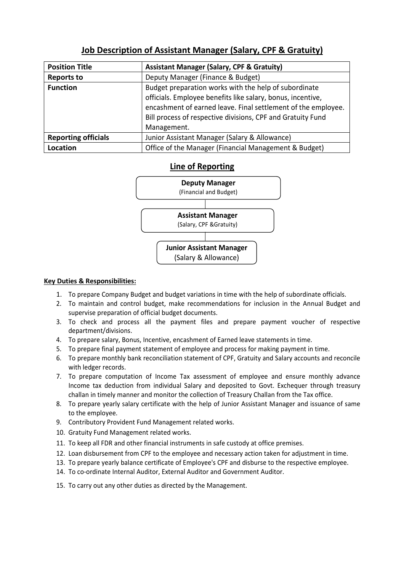| <b>Position Title</b>      | <b>Assistant Manager (Salary, CPF &amp; Gratuity)</b>         |
|----------------------------|---------------------------------------------------------------|
| <b>Reports to</b>          | Deputy Manager (Finance & Budget)                             |
| <b>Function</b>            | Budget preparation works with the help of subordinate         |
|                            | officials. Employee benefits like salary, bonus, incentive,   |
|                            | encashment of earned leave. Final settlement of the employee. |
|                            | Bill process of respective divisions, CPF and Gratuity Fund   |
|                            | Management.                                                   |
| <b>Reporting officials</b> | Junior Assistant Manager (Salary & Allowance)                 |
| <b>Location</b>            | Office of the Manager (Financial Management & Budget)         |

# **Job Description of Assistant Manager (Salary, CPF & Gratuity)**

### **Line of Reporting**



- 1. To prepare Company Budget and budget variations in time with the help of subordinate officials.
- 2. To maintain and control budget, make recommendations for inclusion in the Annual Budget and supervise preparation of official budget documents.
- 3. To check and process all the payment files and prepare payment voucher of respective department/divisions.
- 4. To prepare salary, Bonus, Incentive, encashment of Earned leave statements in time.
- 5. To prepare final payment statement of employee and process for making payment in time.
- 6. To prepare monthly bank reconciliation statement of CPF, Gratuity and Salary accounts and reconcile with ledger records.
- 7. To prepare computation of Income Tax assessment of employee and ensure monthly advance Income tax deduction from individual Salary and deposited to Govt. Exchequer through treasury challan in timely manner and monitor the collection of Treasury Challan from the Tax office.
- 8. To prepare yearly salary certificate with the help of Junior Assistant Manager and issuance of same to the employee.
- 9. Contributory Provident Fund Management related works.
- 10. Gratuity Fund Management related works.
- 11. To keep all FDR and other financial instruments in safe custody at office premises.
- 12. Loan disbursement from CPF to the employee and necessary action taken for adjustment in time.
- 13. To prepare yearly balance certificate of Employee's CPF and disburse to the respective employee.
- 14. To co-ordinate Internal Auditor, External Auditor and Government Auditor.
- 15. To carry out any other duties as directed by the Management.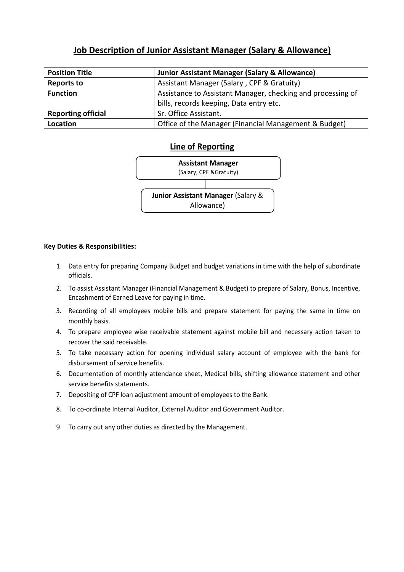# **Job Description of Junior Assistant Manager (Salary & Allowance)**

| <b>Position Title</b>     | <b>Junior Assistant Manager (Salary &amp; Allowance)</b>    |
|---------------------------|-------------------------------------------------------------|
| <b>Reports to</b>         | Assistant Manager (Salary, CPF & Gratuity)                  |
| <b>Function</b>           | Assistance to Assistant Manager, checking and processing of |
|                           | bills, records keeping, Data entry etc.                     |
| <b>Reporting official</b> | Sr. Office Assistant.                                       |
| Location                  | Office of the Manager (Financial Management & Budget)       |

### **Line of Reporting**



- 1. Data entry for preparing Company Budget and budget variations in time with the help of subordinate officials.
- 2. To assist Assistant Manager (Financial Management & Budget) to prepare of Salary, Bonus, Incentive, Encashment of Earned Leave for paying in time.
- 3. Recording of all employees mobile bills and prepare statement for paying the same in time on monthly basis.
- 4. To prepare employee wise receivable statement against mobile bill and necessary action taken to recover the said receivable.
- 5. To take necessary action for opening individual salary account of employee with the bank for disbursement of service benefits.
- 6. Documentation of monthly attendance sheet, Medical bills, shifting allowance statement and other service benefits statements.
- 7. Depositing of CPF loan adjustment amount of employees to the Bank.
- 8. To co-ordinate Internal Auditor, External Auditor and Government Auditor.
- 9. To carry out any other duties as directed by the Management.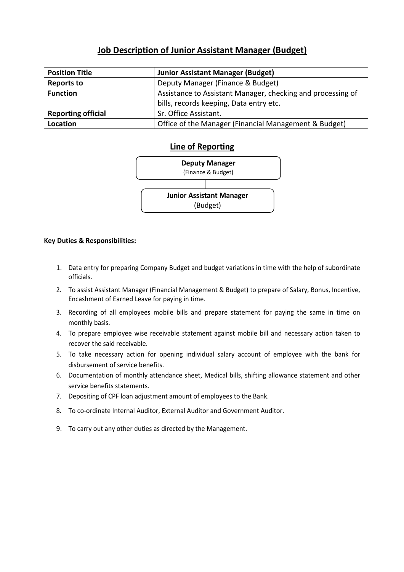# **Job Description of Junior Assistant Manager (Budget)**

| <b>Position Title</b>     | <b>Junior Assistant Manager (Budget)</b>                    |
|---------------------------|-------------------------------------------------------------|
| <b>Reports to</b>         | Deputy Manager (Finance & Budget)                           |
| <b>Function</b>           | Assistance to Assistant Manager, checking and processing of |
|                           | bills, records keeping, Data entry etc.                     |
| <b>Reporting official</b> | Sr. Office Assistant.                                       |
| Location                  | Office of the Manager (Financial Management & Budget)       |

### **Line of Reporting**



- 1. Data entry for preparing Company Budget and budget variations in time with the help of subordinate officials.
- 2. To assist Assistant Manager (Financial Management & Budget) to prepare of Salary, Bonus, Incentive, Encashment of Earned Leave for paying in time.
- 3. Recording of all employees mobile bills and prepare statement for paying the same in time on monthly basis.
- 4. To prepare employee wise receivable statement against mobile bill and necessary action taken to recover the said receivable.
- 5. To take necessary action for opening individual salary account of employee with the bank for disbursement of service benefits.
- 6. Documentation of monthly attendance sheet, Medical bills, shifting allowance statement and other service benefits statements.
- 7. Depositing of CPF loan adjustment amount of employees to the Bank.
- 8. To co-ordinate Internal Auditor, External Auditor and Government Auditor.
- 9. To carry out any other duties as directed by the Management.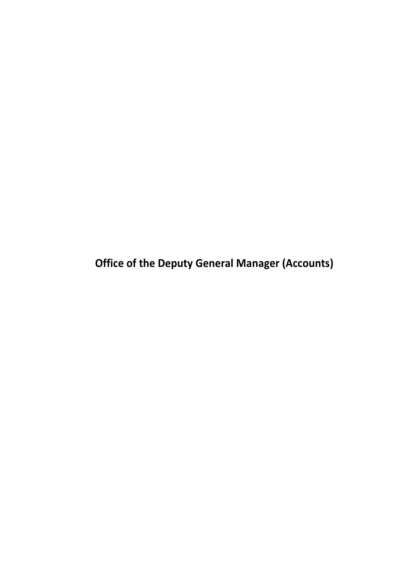**Office of the Deputy General Manager (Accounts)**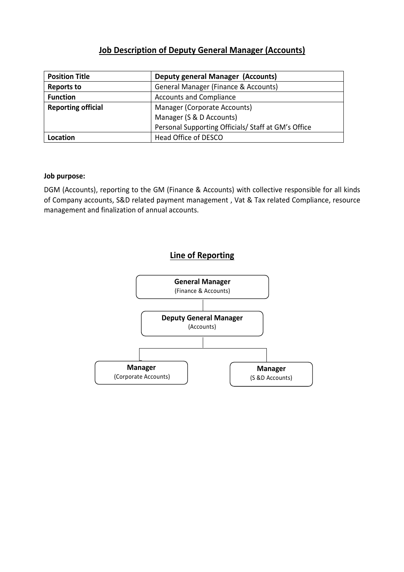# **Job Description of Deputy General Manager (Accounts)**

| <b>Position Title</b>     | <b>Deputy general Manager (Accounts)</b>            |
|---------------------------|-----------------------------------------------------|
| <b>Reports to</b>         | General Manager (Finance & Accounts)                |
| <b>Function</b>           | <b>Accounts and Compliance</b>                      |
| <b>Reporting official</b> | Manager (Corporate Accounts)                        |
|                           | Manager (S & D Accounts)                            |
|                           | Personal Supporting Officials/ Staff at GM's Office |
| Location                  | Head Office of DESCO                                |

### **Job purpose:**

DGM (Accounts), reporting to the GM (Finance & Accounts) with collective responsible for all kinds of Company accounts, S&D related payment management , Vat & Tax related Compliance, resource management and finalization of annual accounts.

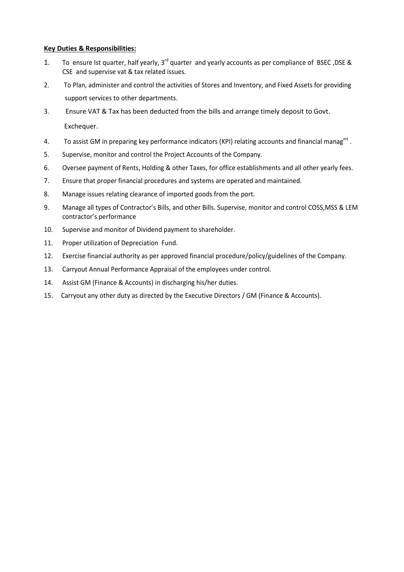- 1. To ensure Ist quarter, half yearly, 3<sup>rd</sup> quarter and yearly accounts as per compliance of BSEC, DSE & CSE and supervise vat & tax related issues.
- 2. To Plan, administer and control the activities of Stores and Inventory, and Fixed Assets for providing support services to other departments.
- 3. Ensure VAT & Tax has been deducted from the bills and arrange timely deposit to Govt. Exchequer.
- 4. To assist GM in preparing key performance indicators (KPI) relating accounts and financial manag<sup>mt</sup>.
- 5. Supervise, monitor and control the Project Accounts of the Company.
- 6. Oversee payment of Rents, Holding & other Taxes, for office establishments and all other yearly fees.
- 7. Ensure that proper financial procedures and systems are operated and maintained.
- 8. Manage issues relating clearance of imported goods from the port.
- 9. Manage all types of Contractor's Bills, and other Bills. Supervise, monitor and control COSS,MSS & LEM contractor's performance
- 10. Supervise and monitor of Dividend payment to shareholder.
- 11. Proper utilization of Depreciation Fund.
- 12. Exercise financial authority as per approved financial procedure/policy/guidelines of the Company.
- 13. Carryout Annual Performance Appraisal of the employees under control.
- 14. Assist GM (Finance & Accounts) in discharging his/her duties.
- 15. Carryout any other duty as directed by the Executive Directors / GM (Finance & Accounts).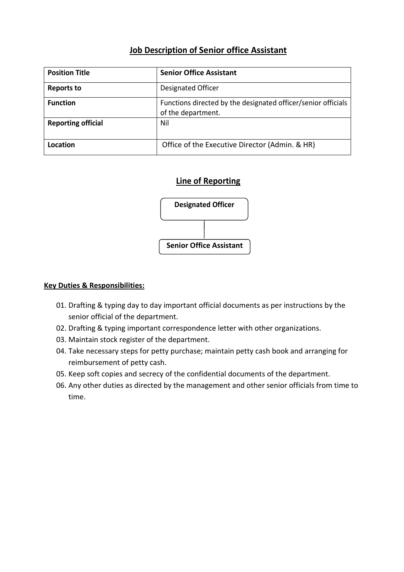# **Job Description of Senior office Assistant**

| <b>Position Title</b>     | <b>Senior Office Assistant</b>                                                      |
|---------------------------|-------------------------------------------------------------------------------------|
| <b>Reports to</b>         | Designated Officer                                                                  |
| <b>Function</b>           | Functions directed by the designated officer/senior officials<br>of the department. |
| <b>Reporting official</b> | Nil                                                                                 |
| Location                  | Office of the Executive Director (Admin. & HR)                                      |

# **Line of Reporting**



- 01. Drafting & typing day to day important official documents as per instructions by the senior official of the department.
- 02. Drafting & typing important correspondence letter with other organizations.
- 03. Maintain stock register of the department.
- 04. Take necessary steps for petty purchase; maintain petty cash book and arranging for reimbursement of petty cash.
- 05. Keep soft copies and secrecy of the confidential documents of the department.
- 06. Any other duties as directed by the management and other senior officials from time to time.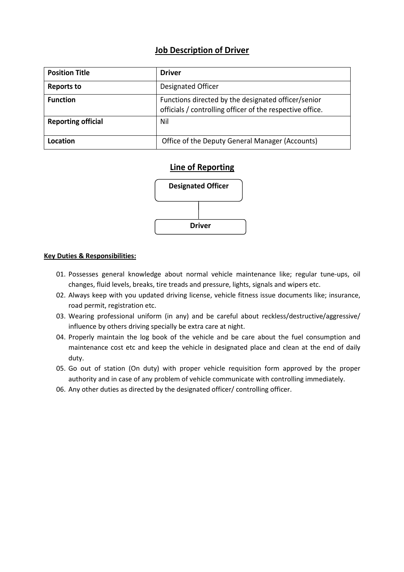### **Job Description of Driver**

| <b>Position Title</b>     | <b>Driver</b>                                                                                                    |
|---------------------------|------------------------------------------------------------------------------------------------------------------|
| <b>Reports to</b>         | Designated Officer                                                                                               |
| <b>Function</b>           | Functions directed by the designated officer/senior<br>officials / controlling officer of the respective office. |
| <b>Reporting official</b> | Nil                                                                                                              |
| Location                  | Office of the Deputy General Manager (Accounts)                                                                  |

### **Line of Reporting**



- 01. Possesses general knowledge about normal vehicle maintenance like; regular tune-ups, oil changes, fluid levels, breaks, tire treads and pressure, lights, signals and wipers etc.
- 02. Always keep with you updated driving license, vehicle fitness issue documents like; insurance, road permit, registration etc.
- 03. Wearing professional uniform (in any) and be careful about reckless/destructive/aggressive/ influence by others driving specially be extra care at night.
- 04. Properly maintain the log book of the vehicle and be care about the fuel consumption and maintenance cost etc and keep the vehicle in designated place and clean at the end of daily duty.
- 05. Go out of station (On duty) with proper vehicle requisition form approved by the proper authority and in case of any problem of vehicle communicate with controlling immediately.
- 06. Any other duties as directed by the designated officer/ controlling officer.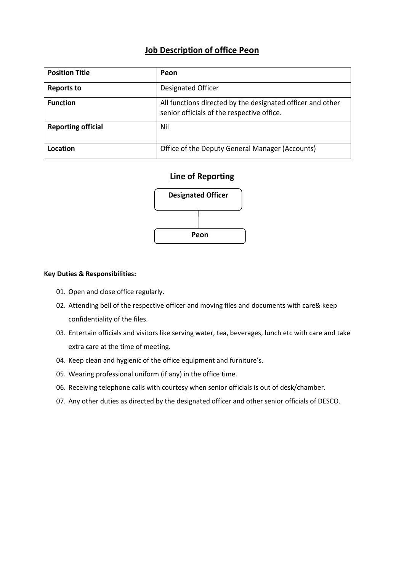### **Job Description of office Peon**

| <b>Position Title</b>     | Peon                                                                                                     |
|---------------------------|----------------------------------------------------------------------------------------------------------|
| <b>Reports to</b>         | Designated Officer                                                                                       |
| <b>Function</b>           | All functions directed by the designated officer and other<br>senior officials of the respective office. |
| <b>Reporting official</b> | Nil                                                                                                      |
| Location                  | Office of the Deputy General Manager (Accounts)                                                          |

### **Line of Reporting**



- 01. Open and close office regularly.
- 02. Attending bell of the respective officer and moving files and documents with care& keep confidentiality of the files.
- 03. Entertain officials and visitors like serving water, tea, beverages, lunch etc with care and take extra care at the time of meeting.
- 04. Keep clean and hygienic of the office equipment and furniture's.
- 05. Wearing professional uniform (if any) in the office time.
- 06. Receiving telephone calls with courtesy when senior officials is out of desk/chamber.
- 07. Any other duties as directed by the designated officer and other senior officials of DESCO.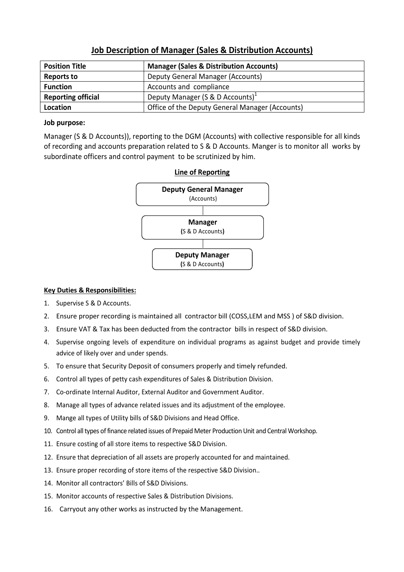| <b>Position Title</b>     | <b>Manager (Sales &amp; Distribution Accounts)</b> |
|---------------------------|----------------------------------------------------|
| <b>Reports to</b>         | Deputy General Manager (Accounts)                  |
| <b>Function</b>           | Accounts and compliance                            |
| <b>Reporting official</b> | Deputy Manager (S & D Accounts) <sup>1</sup>       |
| Location                  | Office of the Deputy General Manager (Accounts)    |

### **Job Description of Manager (Sales & Distribution Accounts)**

#### **Job purpose:**

Manager (S & D Accounts)), reporting to the DGM (Accounts) with collective responsible for all kinds of recording and accounts preparation related to S & D Accounts. Manger is to monitor all works by subordinate officers and control payment to be scrutinized by him.



# **Line of Reporting**

- 1. Supervise S & D Accounts.
- 2. Ensure proper recording is maintained all contractor bill (COSS,LEM and MSS ) of S&D division.
- 3. Ensure VAT & Tax has been deducted from the contractor bills in respect of S&D division.
- 4. Supervise ongoing levels of expenditure on individual programs as against budget and provide timely advice of likely over and under spends.
- 5. To ensure that Security Deposit of consumers properly and timely refunded.
- 6. Control all types of petty cash expenditures of Sales & Distribution Division.
- 7. Co-ordinate Internal Auditor, External Auditor and Government Auditor.
- 8. Manage all types of advance related issues and its adjustment of the employee.
- 9. Mange all types of Utility bills of S&D Divisions and Head Office.
- 10. Control all types of finance related issues of Prepaid Meter Production Unit and Central Workshop.
- 11. Ensure costing of all store items to respective S&D Division.
- 12. Ensure that depreciation of all assets are properly accounted for and maintained.
- 13. Ensure proper recording of store items of the respective S&D Division..
- 14. Monitor all contractors' Bills of S&D Divisions.
- 15. Monitor accounts of respective Sales & Distribution Divisions.
- 16. Carryout any other works as instructed by the Management.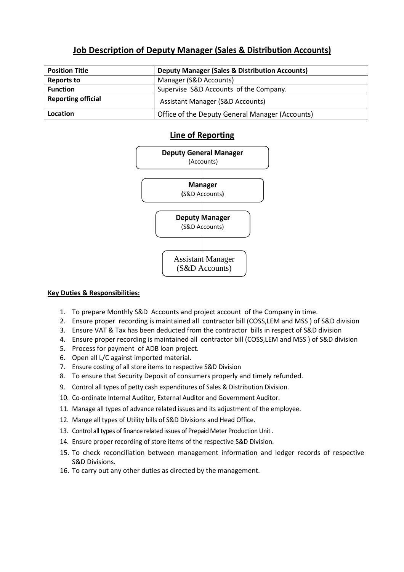# **Job Description of Deputy Manager (Sales & Distribution Accounts)**

| <b>Position Title</b>     | <b>Deputy Manager (Sales &amp; Distribution Accounts)</b> |
|---------------------------|-----------------------------------------------------------|
| Reports to                | Manager (S&D Accounts)                                    |
| <b>Function</b>           | Supervise S&D Accounts of the Company.                    |
| <b>Reporting official</b> | <b>Assistant Manager (S&amp;D Accounts)</b>               |
| Location                  | Office of the Deputy General Manager (Accounts)           |

### **Line of Reporting**



- 1. To prepare Monthly S&D Accounts and project account of the Company in time.
- 2. Ensure proper recording is maintained all contractor bill (COSS,LEM and MSS ) of S&D division
- 3. Ensure VAT & Tax has been deducted from the contractor bills in respect of S&D division
- 4. Ensure proper recording is maintained all contractor bill (COSS,LEM and MSS ) of S&D division
- 5. Process for payment of ADB loan project.
- 6. Open all L/C against imported material.
- 7. Ensure costing of all store items to respective S&D Division
- 8. To ensure that Security Deposit of consumers properly and timely refunded.
- 9. Control all types of petty cash expenditures of Sales & Distribution Division.
- 10. Co-ordinate Internal Auditor, External Auditor and Government Auditor.
- 11. Manage all types of advance related issues and its adjustment of the employee.
- 12. Mange all types of Utility bills of S&D Divisions and Head Office.
- 13. Control all types of finance related issues of Prepaid Meter Production Unit .
- 14. Ensure proper recording of store items of the respective S&D Division.
- 15. To check reconciliation between management information and ledger records of respective S&D Divisions.
- 16. To carry out any other duties as directed by the management.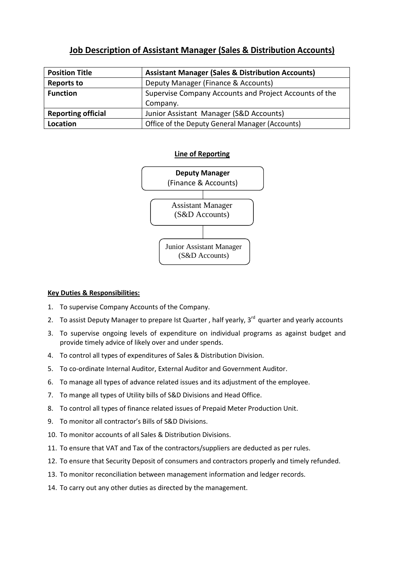# **Job Description of Assistant Manager (Sales & Distribution Accounts)**

| <b>Position Title</b>     | <b>Assistant Manager (Sales &amp; Distribution Accounts)</b> |
|---------------------------|--------------------------------------------------------------|
| <b>Reports to</b>         | Deputy Manager (Finance & Accounts)                          |
| <b>Function</b>           | Supervise Company Accounts and Project Accounts of the       |
|                           | Company.                                                     |
| <b>Reporting official</b> | Junior Assistant Manager (S&D Accounts)                      |
| Location                  | Office of the Deputy General Manager (Accounts)              |

### **Line of Reporting**



- 1. To supervise Company Accounts of the Company.
- 2. To assist Deputy Manager to prepare Ist Quarter, half yearly,  $3<sup>rd</sup>$  quarter and yearly accounts
- 3. To supervise ongoing levels of expenditure on individual programs as against budget and provide timely advice of likely over and under spends.
- 4. To control all types of expenditures of Sales & Distribution Division.
- 5. To co-ordinate Internal Auditor, External Auditor and Government Auditor.
- 6. To manage all types of advance related issues and its adjustment of the employee.
- 7. To mange all types of Utility bills of S&D Divisions and Head Office.
- 8. To control all types of finance related issues of Prepaid Meter Production Unit.
- 9. To monitor all contractor's Bills of S&D Divisions.
- 10. To monitor accounts of all Sales & Distribution Divisions.
- 11. To ensure that VAT and Tax of the contractors/suppliers are deducted as per rules.
- 12. To ensure that Security Deposit of consumers and contractors properly and timely refunded.
- 13. To monitor reconciliation between management information and ledger records.
- 14. To carry out any other duties as directed by the management.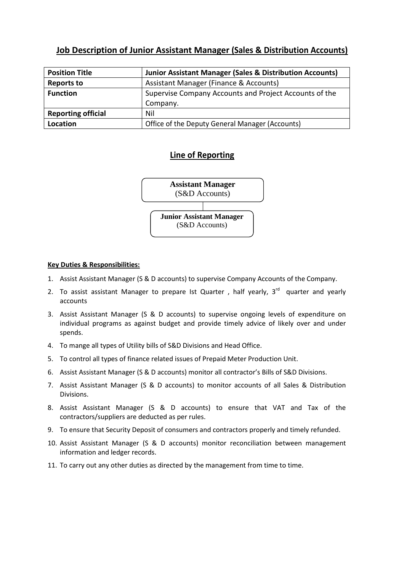### **Job Description of Junior Assistant Manager (Sales & Distribution Accounts)**

| <b>Position Title</b>     | <b>Junior Assistant Manager (Sales &amp; Distribution Accounts)</b> |
|---------------------------|---------------------------------------------------------------------|
| <b>Reports to</b>         | Assistant Manager (Finance & Accounts)                              |
| <b>Function</b>           | Supervise Company Accounts and Project Accounts of the              |
|                           | Company.                                                            |
| <b>Reporting official</b> | Nil                                                                 |
| Location                  | Office of the Deputy General Manager (Accounts)                     |

### **Line of Reporting**



- 1. Assist Assistant Manager (S & D accounts) to supervise Company Accounts of the Company.
- 2. To assist assistant Manager to prepare Ist Quarter, half yearly,  $3<sup>rd</sup>$  quarter and yearly accounts
- 3. Assist Assistant Manager (S & D accounts) to supervise ongoing levels of expenditure on individual programs as against budget and provide timely advice of likely over and under spends.
- 4. To mange all types of Utility bills of S&D Divisions and Head Office.
- 5. To control all types of finance related issues of Prepaid Meter Production Unit.
- 6. Assist Assistant Manager (S & D accounts) monitor all contractor's Bills of S&D Divisions.
- 7. Assist Assistant Manager (S & D accounts) to monitor accounts of all Sales & Distribution Divisions.
- 8. Assist Assistant Manager (S & D accounts) to ensure that VAT and Tax of the contractors/suppliers are deducted as per rules.
- 9. To ensure that Security Deposit of consumers and contractors properly and timely refunded.
- 10. Assist Assistant Manager (S & D accounts) monitor reconciliation between management information and ledger records.
- 11. To carry out any other duties as directed by the management from time to time.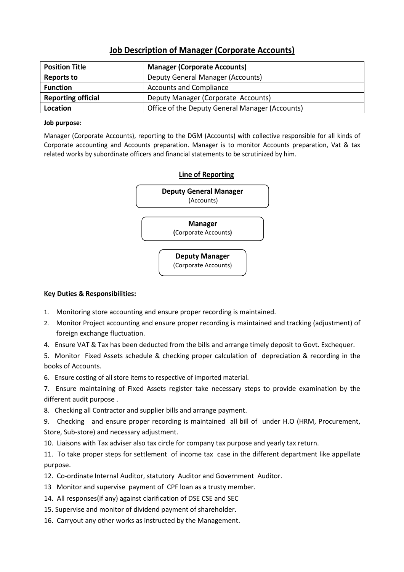### **Job Description of Manager (Corporate Accounts)**

| <b>Position Title</b>     | <b>Manager (Corporate Accounts)</b>             |
|---------------------------|-------------------------------------------------|
| <b>Reports to</b>         | Deputy General Manager (Accounts)               |
| <b>Function</b>           | <b>Accounts and Compliance</b>                  |
| <b>Reporting official</b> | Deputy Manager (Corporate Accounts)             |
| Location                  | Office of the Deputy General Manager (Accounts) |

#### **Job purpose:**

Manager (Corporate Accounts), reporting to the DGM (Accounts) with collective responsible for all kinds of Corporate accounting and Accounts preparation. Manager is to monitor Accounts preparation, Vat & tax related works by subordinate officers and financial statements to be scrutinized by him.



#### **Key Duties & Responsibilities:**

- 1. Monitoring store accounting and ensure proper recording is maintained.
- 2. Monitor Project accounting and ensure proper recording is maintained and tracking (adjustment) of foreign exchange fluctuation.
- 4. Ensure VAT & Tax has been deducted from the bills and arrange timely deposit to Govt. Exchequer.

5. Monitor Fixed Assets schedule & checking proper calculation of depreciation & recording in the books of Accounts.

6. Ensure costing of all store items to respective of imported material.

7. Ensure maintaining of Fixed Assets register take necessary steps to provide examination by the different audit purpose .

8. Checking all Contractor and supplier bills and arrange payment.

9. Checking and ensure proper recording is maintained all bill of under H.O (HRM, Procurement, Store, Sub-store) and necessary adjustment.

10. Liaisons with Tax adviser also tax circle for company tax purpose and yearly tax return.

11. To take proper steps for settlement of income tax case in the different department like appellate purpose.

12. Co-ordinate Internal Auditor, statutory Auditor and Government Auditor.

- 13 Monitor and supervise payment of CPF loan as a trusty member.
- 14. All responses(if any) against clarification of DSE CSE and SEC
- 15. Supervise and monitor of dividend payment of shareholder.
- 16. Carryout any other works as instructed by the Management.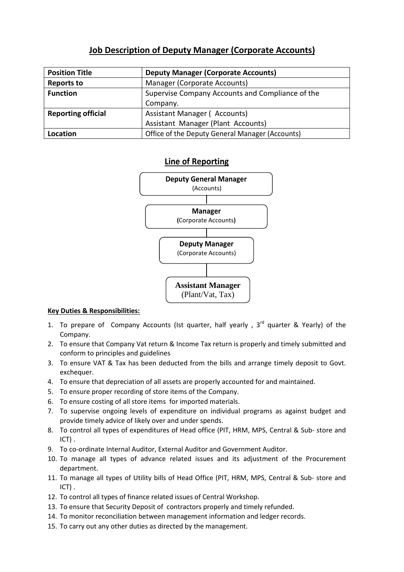# **Job Description of Deputy Manager (Corporate Accounts)**

| <b>Position Title</b>     | <b>Deputy Manager (Corporate Accounts)</b>       |
|---------------------------|--------------------------------------------------|
| <b>Reports to</b>         | Manager (Corporate Accounts)                     |
| <b>Function</b>           | Supervise Company Accounts and Compliance of the |
|                           | Company.                                         |
| <b>Reporting official</b> | Assistant Manager (Accounts)                     |
|                           | Assistant Manager (Plant Accounts)               |
| Location                  | Office of the Deputy General Manager (Accounts)  |

### **Line of Reporting**



- 1. To prepare of Company Accounts (Ist quarter, half yearly,  $3<sup>rd</sup>$  quarter & Yearly) of the Company.
- 2. To ensure that Company Vat return & Income Tax return is properly and timely submitted and conform to principles and guidelines
- 3. To ensure VAT & Tax has been deducted from the bills and arrange timely deposit to Govt. exchequer.
- 4. To ensure that depreciation of all assets are properly accounted for and maintained.
- 5. To ensure proper recording of store items of the Company.
- 6. To ensure costing of all store items for imported materials.
- 7. To supervise ongoing levels of expenditure on individual programs as against budget and provide timely advice of likely over and under spends.
- 8. To control all types of expenditures of Head office (PIT, HRM, MPS, Central & Sub- store and ICT) .
- 9. To co-ordinate Internal Auditor, External Auditor and Government Auditor.
- 10. To manage all types of advance related issues and its adjustment of the Procurement department.
- 11. To manage all types of Utility bills of Head Office (PIT, HRM, MPS, Central & Sub- store and ICT) .
- 12. To control all types of finance related issues of Central Workshop.
- 13. To ensure that Security Deposit of contractors properly and timely refunded.
- 14. To monitor reconciliation between management information and ledger records.
- 15. To carry out any other duties as directed by the management.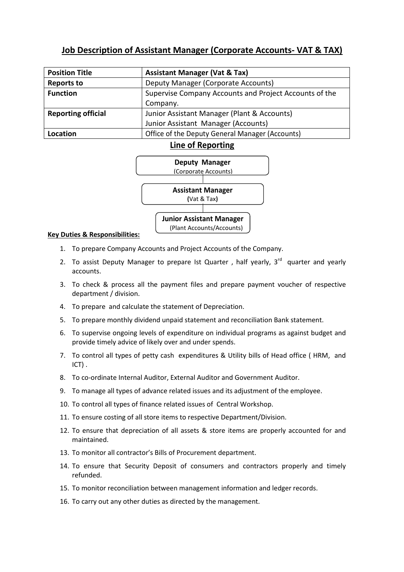# **Job Description of Assistant Manager (Corporate Accounts- VAT & TAX)**

| <b>Position Title</b>     | <b>Assistant Manager (Vat &amp; Tax)</b>               |
|---------------------------|--------------------------------------------------------|
| <b>Reports to</b>         | Deputy Manager (Corporate Accounts)                    |
| <b>Function</b>           | Supervise Company Accounts and Project Accounts of the |
|                           | Company.                                               |
| <b>Reporting official</b> | Junior Assistant Manager (Plant & Accounts)            |
|                           | Junior Assistant Manager (Accounts)                    |
| Location                  | Office of the Deputy General Manager (Accounts)        |

### **Line of Reporting**



- 1. To prepare Company Accounts and Project Accounts of the Company.
- 2. To assist Deputy Manager to prepare Ist Quarter, half yearly,  $3<sup>rd</sup>$  quarter and yearly accounts.
- 3. To check & process all the payment files and prepare payment voucher of respective department / division.
- 4. To prepare and calculate the statement of Depreciation.
- 5. To prepare monthly dividend unpaid statement and reconciliation Bank statement.
- 6. To supervise ongoing levels of expenditure on individual programs as against budget and provide timely advice of likely over and under spends.
- 7. To control all types of petty cash expenditures & Utility bills of Head office ( HRM, and ICT) .
- 8. To co-ordinate Internal Auditor, External Auditor and Government Auditor.
- 9. To manage all types of advance related issues and its adjustment of the employee.
- 10. To control all types of finance related issues of Central Workshop.
- 11. To ensure costing of all store items to respective Department/Division.
- 12. To ensure that depreciation of all assets & store items are properly accounted for and maintained.
- 13. To monitor all contractor's Bills of Procurement department.
- 14. To ensure that Security Deposit of consumers and contractors properly and timely refunded.
- 15. To monitor reconciliation between management information and ledger records.
- 16. To carry out any other duties as directed by the management.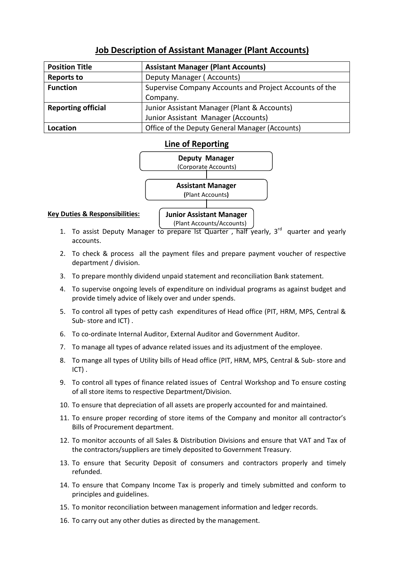# **Job Description of Assistant Manager (Plant Accounts)**

| <b>Position Title</b>     | <b>Assistant Manager (Plant Accounts)</b>              |
|---------------------------|--------------------------------------------------------|
| <b>Reports to</b>         | Deputy Manager (Accounts)                              |
| <b>Function</b>           | Supervise Company Accounts and Project Accounts of the |
|                           | Company.                                               |
| <b>Reporting official</b> | Junior Assistant Manager (Plant & Accounts)            |
|                           | Junior Assistant Manager (Accounts)                    |
| Location                  | Office of the Deputy General Manager (Accounts)        |

### **Line of Reporting**



#### **Key Duties & Responsibilities:**

**Junior Assistant Manager** (Plant Accounts/Accounts)

- 1. To assist Deputy Manager to prepare Ist Quarter, half yearly,  $3<sup>rd</sup>$  quarter and yearly accounts.
- 2. To check & process all the payment files and prepare payment voucher of respective department / division.
- 3. To prepare monthly dividend unpaid statement and reconciliation Bank statement.
- 4. To supervise ongoing levels of expenditure on individual programs as against budget and provide timely advice of likely over and under spends.
- 5. To control all types of petty cash expenditures of Head office (PIT, HRM, MPS, Central & Sub- store and ICT) .
- 6. To co-ordinate Internal Auditor, External Auditor and Government Auditor.
- 7. To manage all types of advance related issues and its adjustment of the employee.
- 8. To mange all types of Utility bills of Head office (PIT, HRM, MPS, Central & Sub- store and ICT) .
- 9. To control all types of finance related issues of Central Workshop and To ensure costing of all store items to respective Department/Division.
- 10. To ensure that depreciation of all assets are properly accounted for and maintained.
- 11. To ensure proper recording of store items of the Company and monitor all contractor's Bills of Procurement department.
- 12. To monitor accounts of all Sales & Distribution Divisions and ensure that VAT and Tax of the contractors/suppliers are timely deposited to Government Treasury.
- 13. To ensure that Security Deposit of consumers and contractors properly and timely refunded.
- 14. To ensure that Company Income Tax is properly and timely submitted and conform to principles and guidelines.
- 15. To monitor reconciliation between management information and ledger records.
- 16. To carry out any other duties as directed by the management.